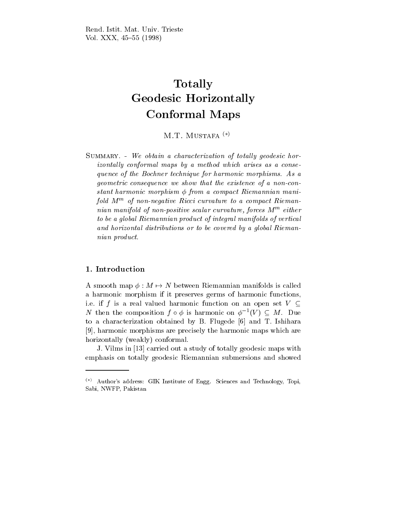# Totally Geodesic Horizontally Conformal Maps

M.T. MUSTAFA $(*)$ 

SUMMARY. - We obtain a characterization of totally geodesic horizontally conformal maps by a method which arises as a consequence of the Bochner technique for harmonic morphisms. As a geometric consequence we show that the existence of a non-constant harmonic morphism  $\phi$  from a compact Riemannian manifold M<sup>m</sup> of non-negative Ricci curvature to a compact Riemannian manifold of non-positive scalar curvature, forces M  $^{\cdots}$  either to be a global Riemannian product of integral manifolds of vertical and horizontal distributions or to be covered by a global Riemannian product.

A smooth map  $\phi : M \mapsto N$  between Riemannian manifolds is called a harmonic morphism if it preserves germs of harmonic functions, i.e. if f is a real valued harmonic function on an open set  $V \subset$ N then the composition  $f \circ \phi$  is harmonic on  $\phi^{-1}(V) \subseteq M$ . Due to a characterization obtained by B. Flugede [6] and T. Ishihara [9], harmonic morphisms are precisely the harmonic maps which are horizontally (weakly) conformal.

J. Vilms in [13] carried out a study of totally geodesic maps with emphasis on totally geodesic Riemannian submersions and showed

 $(*)$  Author's address: GIK Institute of Engg. Sciences and Technology, Topi, Sabi, NWFP, Pakistan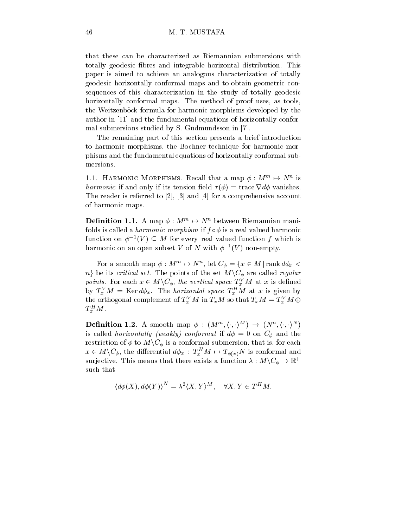## 46 M. T. MUSTAFA

that these can be characterized as Riemannian submersions with totally geodesic bres and integrable horizontal distribution. This paper is aimed to achieve an analogous characterization of totally geodesic horizontally conformal maps and to obtain geometric consequences of this characterization in the study of totally geodesic horizontally conformal maps. The method of proof uses, as tools, the Weitzenböck formula for harmonic morphisms developed by the author in [11] and the fundamental equations of horizontally conformal submersions studied by S. Gudmundsson in [7].

The remaining part of this section presents a brief introduction to harmonic morphisms, the Bochner technique for harmonic morphisms and the fundamental equations of horizontally conformal submersions.

1.1. HARMONIC MORPHISMS. Recall that a map  $\phi : M''' \mapsto N''$  is harmonic if and only if its tension field  $\tau(\phi) = \text{trace } \nabla d\phi$  vanishes. The reader is referred to [2], [3] and [4] for a comprehensive account of harmonic maps.

**Definition 1.1.** A map  $\phi : M''' \mapsto N''$  between Riemannian manifolds is called a *harmonic morphism* if  $f \circ \phi$  is a real valued harmonic function on  $\phi^{-1}(V) \subseteq M$  for every real valued function f which is  $\max$  interesting the subset  $V$  of  $N$  with  $\varphi$  and  $V$  ) non-empty.

For a smooth map  $\phi: M^m \mapsto N^n,$  let  $C_\phi = \{x \in M \,|\, \text{rank } d\phi_x < \phi\}$  $n_j$  be its *critical set*. The points of the set  $M\backslash C_\phi$  are called *regular* points. For each  $x \in M\backslash C_\phi$ , the vertical space  $T_x^V M$  at x is defined by  $T_x$   $M = \text{Ner } a \phi_x$ . The *norizontal space*  $T_x$   $M$  at x is given by the orthogonal complement of  $T_x^*$  M in  $T_xM$  so that  $T_xM=T_x^*$  M  $\oplus$  $\bm{\mathcal{I}}_x$   $M$  .

**Definition 1.2.** A smooth map  $\phi$  :  $(M^m, \langle \cdot, \cdot \rangle^M)$   $\rightarrow$   $(N^n, \langle \cdot, \cdot \rangle^N)$ ) is called *horizontally (weakly) conformal* if  $d\phi = 0$  on  $C_{\phi}$  and the restriction of  $\phi$  to  $M\backslash C_{\phi}$  is a conformal submersion, that is, for each  $x \in M\backslash C_\phi$ , the differential  $d\phi_x$ :  $T_x^H M \mapsto T_{\phi(x)}N$  is conformal and surjective. This means that there exists a function  $\lambda : M \backslash C_\phi \to \mathbb{R}^+$ such that

$$
\langle d\phi(X), d\phi(Y) \rangle^N = \lambda^2 \langle X, Y \rangle^M, \quad \forall X, Y \in T^H M.
$$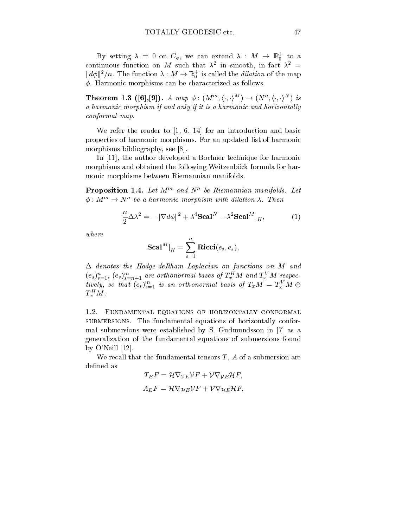By setting  $\lambda = 0$  on  $C_{\phi}$ , we can extend  $\lambda : M \rightarrow \mathbb{R}^+_0$  to a continuous function on  $M$  such that  $\lambda^+$  in smooth, in fact  $\lambda^+ \equiv$  $\|d\phi\|^2/n$ . The function  $\lambda: M \to \mathbb{R}^+_0$  is called the *dilation* of the map  $\phi$ . Harmonic morphisms can be characterized as follows.

**Theorem 1.3 ([6],[9]).** A map  $\phi : (M^m, \langle \cdot, \cdot \rangle^M) \rightarrow (N^n, \langle \cdot, \cdot \rangle^N)$  is a harmonic morphism if and only if it is a harmonic and horizontally conformal map.

We refer the reader to  $\begin{bmatrix} 1, 6, 14 \end{bmatrix}$  for an introduction and basic properties of harmonic morphisms. For an updated list of harmonic morphisms bibliography, see [8].

In [11], the author developed a Bochner technique for harmonic morphisms and obtained the following Weitzenböck formula for harmonic morphisms between Riemannian manifolds.

**Proposition 1.4.** Let  $M_1$  and  $N_2$  be Riemannian manifolds. Let  $\phi: M^{\prime\prime\prime}\rightarrow N^{\prime\prime}$  be a harmonic morphism with dilation  $\lambda$ . Then

$$
\frac{n}{2}\Delta\lambda^2 = -\|\nabla d\phi\|^2 + \lambda^4 \mathbf{Scal}^N - \lambda^2 \mathbf{Scal}^M\big|_H,\tag{1}
$$

where

$$
\mathbf{Scal}^M|_H=\sum_{s=1}^n\mathbf{Ricci}(e_s,e_s),
$$

 $\Delta$  denotes the Hodge-deRham Laplacian on functions on M and  $(e_s)_{s=1}$ ,  $(e_s)_{s=n+1}$  are orthonormal bases of  $\Gamma_x$  in and  $\Gamma_x$  in respectively, so that  $(e_s)_{s=1}^m$  is an orthonormal basis of  $T_xM = T_x^*M \oplus$  $\boldsymbol{I}_{x}$  M.

1.2. Fundamental equations of horizontally conformal submersions. The fundamental equations of horizontally conformal submersions were established by S. Gudmundsson in [7] as a generalization of the fundamental equations of submersions found by O'Neill [12].

We recall that the fundamental tensors  $T$ ,  $A$  of a submersion are defined as

$$
T_E F = \mathcal{H} \nabla_{\mathcal{V}E} \mathcal{V} F + \mathcal{V} \nabla_{\mathcal{V}E} \mathcal{H} F,
$$
  

$$
A_E F = \mathcal{H} \nabla_{\mathcal{H}E} \mathcal{V} F + \mathcal{V} \nabla_{\mathcal{H}E} \mathcal{H} F,
$$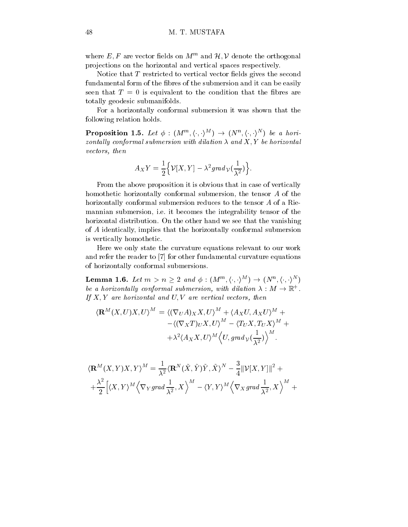where  $E, F$  are vector fields on  $M^m$  and  $\mathcal{H}, \mathcal{V}$  denote the orthogonal projections on the horizontal and vertical spaces respectively.

Notice that  $T$  restricted to vertical vector fields gives the second fundamental form of the fibres of the submersion and it can be easily seen that  $T = 0$  is equivalent to the condition that the fibres are totally geodesic submanifolds.

For a horizontally conformal submersion it was shown that the following relation holds.

**Proposition 1.5.** Let  $\phi$  :  $(M^m, \langle \cdot, \cdot \rangle^M) \rightarrow (N^n, \langle \cdot, \cdot \rangle^N)$  be a horizontally conformal submersion with dilation  $\lambda$  and  $X, Y$  be horizontal vectors, then

$$
A_XY=\frac{1}{2}\Big\{\mathcal{V}[X,Y]-\lambda^2 grad\, \mathcal{V}(\frac{1}{\lambda^2})\Big\}.
$$

From the above proposition it is obvious that in case of vertically homothetic horizontally conformal submersion, the tensor A of the horizontally conformal submersion reduces to the tensor A of a Riemannian submersion, i.e. it becomes the integrability tensor of the horizontal distribution. On the other hand we see that the vanishing of A identically, implies that the horizontally conformal submersion is vertically homothetic.

Here we only state the curvature equations relevant to our work and refer the reader to [7] for other fundamental curvature equations of horizontally conformal submersions.

**Lemma 1.6.** Let  $m>n\geq 2$  and  $\phi:(M^m,\langle \cdot,\cdot \rangle^M )\rightarrow (N^n,\langle \cdot,\cdot \rangle^N )$ be a horizontally conformal submersion, with dilation  $\lambda : M \to \mathbb{R}^+$ . If  $X, Y$  are horizontal and  $U, V$  are vertical vectors, then

$$
\langle \mathbf{R}^M(X, U)X, U \rangle^M = \langle (\nabla_U A)_X X, U \rangle^M + \langle A_X U, A_X U \rangle^M +
$$
  
 
$$
- \langle (\nabla_X T)_U X, U \rangle^M - \langle T_U X, T_U X \rangle^M +
$$
  
 
$$
+ \lambda^2 \langle A_X X, U \rangle^M \langle U, \text{grad } \mathcal{V}(\frac{1}{\lambda^2}) \rangle^M.
$$

$$
\langle \mathbf{R}^{M}(X,Y)X,Y\rangle^{M} = \frac{1}{\lambda^{2}} \langle \mathbf{R}^{N}(\tilde{X},\tilde{Y})\tilde{Y},\tilde{X}\rangle^{N} - \frac{3}{4} ||\mathcal{V}[X,Y]||^{2} +
$$
  
+ 
$$
\frac{\lambda^{2}}{2} \Big[\langle X,Y\rangle^{M} \Big\langle \nabla_{Y}grad \frac{1}{\lambda^{2}},X\Big\rangle^{M} - \langle Y,Y\rangle^{M} \Big\langle \nabla_{X}grad \frac{1}{\lambda^{2}},X\Big\rangle^{M} +
$$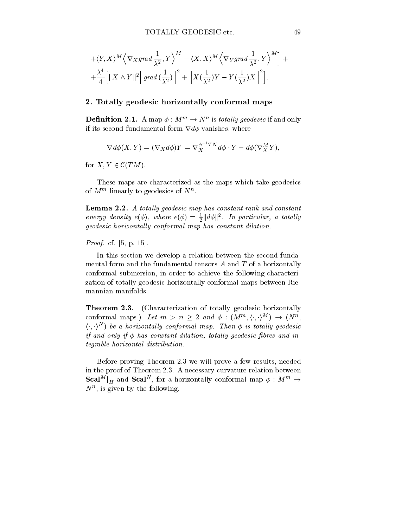$$
+\langle Y, X \rangle^M \left\langle \nabla_X \operatorname{grad} \frac{1}{\lambda^2}, Y \right\rangle^M - \langle X, X \rangle^M \left\langle \nabla_Y \operatorname{grad} \frac{1}{\lambda^2}, Y \right\rangle^M \right] + + \frac{\lambda^4}{4} \Big[ \|X \wedge Y \|^2 \Big\| \operatorname{grad} \left( \frac{1}{\lambda^2} \right) \Big\|^2 + \Big\| X \left( \frac{1}{\lambda^2} \right) Y - Y \left( \frac{1}{\lambda^2} \right) X \Big\|^2 \Big].
$$

### 2. Totally geodesic horizontally conformal maps

**Definition 2.1.** A map  $\phi : M^m \to N^n$  is totally geodesic it and only if its second fundamental form  $\nabla d\phi$  vanishes, where

$$
\nabla d\phi(X,Y) = (\nabla_X d\phi)Y = \nabla_X^{\phi^{-1}TN} d\phi \cdot Y - d\phi(\nabla_X^M Y),
$$

for  $X, Y \in \mathcal{C}(TM)$ .

These maps are characterized as the maps which take geodesics of  $M^{\prime\prime}$  inearly to geodesics of  $N^{\prime}$ .

Lemma 2.2. A totally geodesic map has constant rank and constant energy density  $e(\phi)$ , where  $e(\phi) = \frac{1}{2} ||d\phi||^2$ . In particular, a totally geodesic horizontally conformal map has constant dilation.

Proof. cf. [5, p. 15].

In this section we develop a relation between the second fundamental form and the fundamental tensors  $A$  and  $T$  of a horizontally conformal submersion, in order to achieve the following characterization of totally geodesic horizontally conformal maps between Riemannian manifolds.

**Theorem 2.3.** (Characterization of totally geodesic horizontally conformal maps.) Let  $m > n \geq 2$  and  $\phi : (M^m, \langle \cdot, \cdot \rangle^M) \to (N^n,$  $\langle \cdot , \cdot \rangle^N$ ) be a horizontally conformal map. Then  $\phi$  is totally geodesic if and only if  $\phi$  has constant dilation, totally geodesic fibres and integrable horizontal distribution.

Before proving Theorem 2.3 we will prove a few results, needed in the proof of Theorem 2.3. A necessary curvature relation between  $\mathbf{Scal}^M\big|_H$  and  $\mathbf{Scal}^N,$  for a horizontally conformal map  $\phi:M^m\rightarrow$ N<sup>n</sup> , is given by the following.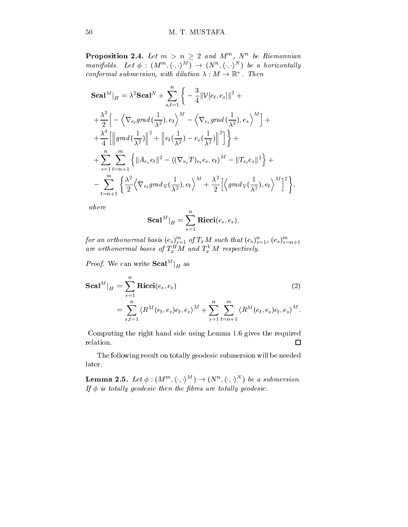**Proposition 2.4.** Let  $m > n \geq 2$  and  $M^m$ ,  $N^n$  be Riemannian manifolds. Let  $\phi : (M^m, \langle \cdot, \cdot \rangle^M) \rightarrow (N^n, \langle \cdot, \cdot \rangle^N)$  be a horizontally conformal submersion, with dilation  $\lambda : M \to \mathbb{R}^+$ . Then

$$
\begin{split} &\mathbf{Scal}^{M}|_{H}=\lambda^{2}\mathbf{Scal}^{N}+\sum_{s,t=1}^{n}\bigg\{-\frac{3}{4}||\mathcal{V}[e_{t},e_{s}]||^{2}+\\ &+\frac{\lambda^{2}}{2}\Big[-\Big\langle\nabla_{e_{t}}grad\left(\frac{1}{\lambda^{2}}\right),e_{t}\Big\rangle^{M}-\Big\langle\nabla_{e_{s}}grad\left(\frac{1}{\lambda^{2}}\right),e_{s}\Big\rangle^{M}\Big]+\\ &+\frac{\lambda^{4}}{4}\Big[\Big\Vert grad\left(\frac{1}{\lambda^{2}}\right)\Big\Vert^{2}+\Big\Vert e_{t}\left(\frac{1}{\lambda^{2}}\right)-e_{s}\left(\frac{1}{\lambda^{2}}\right)\Big\Vert^{2}\Big]\bigg\}+\\ &+\sum_{s=1}^{n}\sum_{t=n+1}^{m}\Big\{\Big\Vert Ae_{s}e_{t}\Big\Vert^{2}-\big\langle(\nabla_{e_{s}}T)_{e_{t}}e_{s},e_{t}\big\rangle^{M}-\Vert T_{e_{t}}e_{s}\Vert^{2}\Big\}+\\ &-\sum_{t=n+1}^{m}\Big\{\frac{\lambda^{2}}{2}\Big\langle\nabla_{e_{t}}grad\psi\left(\frac{1}{\lambda^{2}}\right),e_{t}\Big\rangle^{M}+\frac{\lambda^{2}}{2}\Big[\Big\langle grad\psi\left(\frac{1}{\lambda^{2}}\right),e_{t}\Big\rangle^{M}\Big]^{2}\Big\},\end{split}
$$

where

$$
\mathbf{Scal}^M|_H=\sum_{s=1}^n\mathbf{Ricci}(e_s,e_s),
$$

for an orthonormal basis  $(e_s)_{s=1}^{s=1}$  of  $I_x$ M such that  $(e_s)_{s=1}^{s}$ ,  $(e_s)_{s=n+1}^{s=n+1}$  are orthonormal bases of  $T_x^H M$  and  $T_x^V M$  respectively.

*Proof.* We can write  $Scal^M|_{H}$  as

$$
\begin{split} \mathbf{Scal}^{M}|_{H} &= \sum_{s=1}^{n} \mathbf{Ricci}(e_{s}, e_{s}) \\ &= \sum_{s,t=1}^{n} \langle R^{M}(e_{t}, e_{s})e_{t}, e_{s} \rangle^{M} + \sum_{s=1}^{n} \sum_{t=n+1}^{m} \langle R^{M}(e_{t}, e_{s})e_{t}, e_{s} \rangle^{M} .\end{split} \tag{2}
$$

Computing the right hand side using Lemma 1.6 gives the required relation.  $\Box$ 

The following result on totally geodesic submersion will be needed later.

**Lemma 2.5.** Let  $\phi : (M^m, \langle \cdot, \cdot \rangle^M) \rightarrow (N^n, \langle \cdot, \cdot \rangle^N)$  be a submersion. If  $\phi$  is totally geodesic then the fibres are totally geodesic.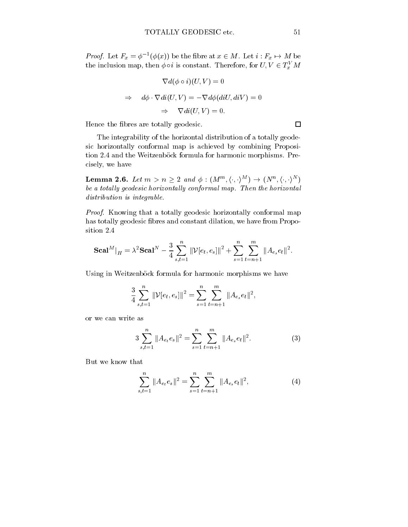*Proof.* Let  $F_x = \phi^{-1}(\phi(x))$  be the fibre at  $x \in M$ . Let  $i : F_x \mapsto M$  be the inclusion map, then  $\phi \circ i$  is constant. Therefore, for  $U, V \in T_x^*M$ 

$$
\nabla d(\phi \circ i)(U, V) = 0
$$
  
\n
$$
\Rightarrow d\phi \cdot \nabla di(U, V) = -\nabla d\phi (diU, diV) = 0
$$
  
\n
$$
\Rightarrow \nabla di(U, V) = 0.
$$

Hence the bres are totally geodesic.

The integrability of the horizontal distribution of a totally geodesic horizontally conformal map is achieved by combining Proposition 2.4 and the Weitzenböck formula for harmonic morphisms. Precisely, we have

Lemma 2.6. Let  $m>n\geq 2$  and  $\phi :(M^{m},\langle \cdot , \cdot \rangle ^{M})\rightarrow (N^{n},\langle \cdot , \cdot \rangle ^{N})$ be a totally geodesic horizontally conformal map. Then the horizontal distribution is integrable.

Proof. Knowing that a totally geodesic horizontally conformal map has totally geodesic fibres and constant dilation, we have from Proposition 2.4

$$
\mathbf{Scal}^M\vert_{H} = \lambda^2\mathbf{Scal}^N - \frac{3}{4}\sum_{s,t=1}^n \|\mathcal{V}[e_t,e_s]\|^2 + \sum_{s=1}^n \sum_{t=n+1}^m \|A_{e_s}e_t\|^2.
$$

Using in Weitzenböck formula for harmonic morphisms we have

$$
\frac{3}{4} \sum_{s,t=1}^{n} \|\mathcal{V}[e_t, e_s]\|^2 = \sum_{s=1}^{n} \sum_{t=n+1}^{m} \|A_{e_s}e_t\|^2,
$$

or we can write as

$$
3\sum_{s,t=1}^{n} \|A_{e_t}e_s\|^2 = \sum_{s=1}^{n} \sum_{t=n+1}^{m} \|A_{e_s}e_t\|^2.
$$
 (3)

But we know that

$$
\sum_{s,t=1}^{n} \|A_{e_t} e_s\|^2 = \sum_{s=1}^{n} \sum_{t=n+1}^{m} \|A_{e_s} e_t\|^2, \tag{4}
$$

 $\Box$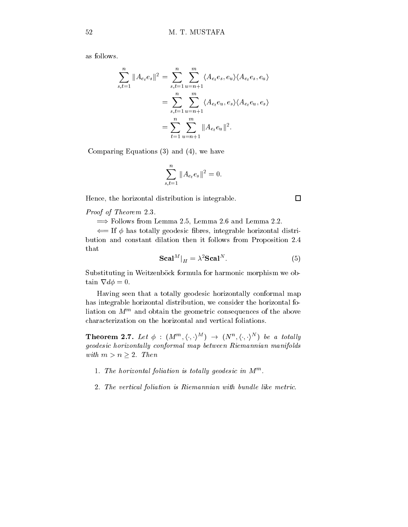as follows.

$$
\sum_{s,t=1}^{n} \|A_{e_t}e_s\|^2 = \sum_{s,t=1}^{n} \sum_{u=n+1}^{m} \langle A_{e_t}e_s, e_u \rangle \langle A_{e_t}e_s, e_u \rangle
$$
  
= 
$$
\sum_{s,t=1}^{n} \sum_{u=n+1}^{m} \langle A_{e_t}e_u, e_s \rangle \langle A_{e_t}e_u, e_s \rangle
$$
  
= 
$$
\sum_{t=1}^{n} \sum_{u=n+1}^{m} \|A_{e_t}e_u\|^2.
$$

Comparing Equations (3) and (4), we have

$$
\sum_{s,t=1}^{n} \|A_{e_t} e_s\|^2 = 0.
$$

Hence, the horizontal distribution is integrable.

Proof of Theorem 2.3.

 $\implies$  Follows from Lemma 2.5, Lemma 2.6 and Lemma 2.2.

 $\Leftarrow$  If  $\phi$  has totally geodesic fibres, integrable horizontal distribution and constant dilation then it follows from Proposition 2.4 that

$$
\mathbf{Scal}^{M}|_{H} = \lambda^{2} \mathbf{Scal}^{N}.
$$
 (5)

Substituting in Weitzenböck formula for harmonic morphism we obtain  $\nabla d\phi = 0$ .

Having seen that a totally geodesic horizontally conformal map has integrable horizontal distribution, we consider the horizontal fo $max$  on  $M<sup>th</sup>$  and obtain the geometric consequences of the above characterization on the horizontal and vertical foliations.

**Theorem 2.7.** Let  $\phi$  :  $(M^m, \langle \cdot, \cdot \rangle^M) \rightarrow (N^n, \langle \cdot, \cdot \rangle^N)$  be a totally geodesic horizontally conformal map between Riemannian manifolds with  $m>n \geq 2$ . Then

- 1. The horizontal foliation is totally geodesic in  $M^m$ .
- 2. The vertical foliation is Riemannian with bundle like metric.

 $\Box$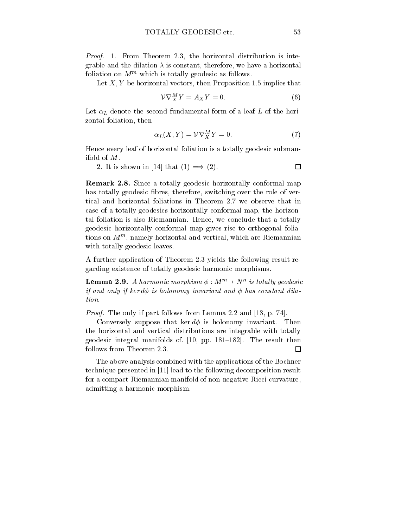Proof. 1. From Theorem 2.3, the horizontal distribution is integrable and the dilation  $\lambda$  is constant, therefore, we have a horizontal foliation on  $M^m$  which is totally geodesic as follows.

Let  $X, Y$  be horizontal vectors, then Proposition 1.5 implies that

$$
\mathcal{V}\nabla_X^M Y = A_X Y = 0. \tag{6}
$$

Let  $\alpha_L$  denote the second fundamental form of a leaf L of the horizontal foliation, then

$$
\alpha_L(X, Y) = \mathcal{V}\nabla^M_X Y = 0. \tag{7}
$$

Hence every leaf of horizontal foliation is a totally geodesic submanifold of M.

2. It is shown in [14] that  $(1) \implies (2)$ .  $\Box$ 

Remark 2.8. Since a totally geodesic horizontally conformal map has totally geodesic fibres, therefore, switching over the role of vertical and horizontal foliations in Theorem 2.7 we observe that in case of a totally geodesics horizontally conformal map, the horizontal foliation is also Riemannian. Hence, we conclude that a totally geodesic horizontally conformal map gives rise to orthogonal foliations on M<sup>m</sup> , namely horizontal and vertical, which are Riemannian with totally geodesic leaves.

A further application of Theorem 2.3 yields the following result regarding existence of totally geodesic harmonic morphisms.

**Lemma 2.9.** A harmonic morphism  $\phi : M^{\prime\prime} \rightarrow N^{\prime\prime}$  is totally geodesic if and only if kerd $\phi$  is holonomy invariant and  $\phi$  has constant dilation.

Proof. The only if part follows from Lemma 2.2 and [13, p. 74].

Conversely suppose that ker  $d\phi$  is holonomy invariant. Then the horizontal and vertical distributions are integrable with totally geodesic integral manifolds cf.  $[10, pp. 181-182]$ . The result then follows from Theorem 2.3.  $\Box$ 

The above analysis combined with the applications of the Bochner technique presented in [11] lead to the following decomposition result for a compact Riemannian manifold of non-negative Ricci curvature, admitting a harmonic morphism.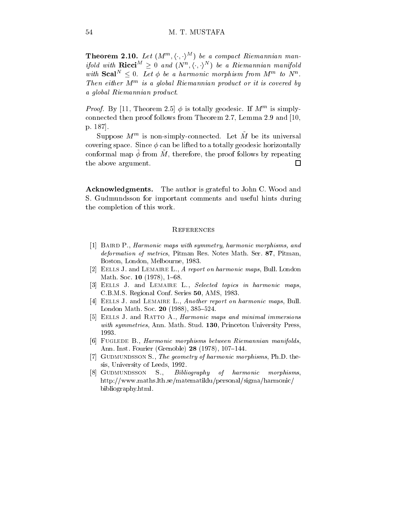**Theorem 2.10.** Let  $(M^m, \langle \cdot, \cdot \rangle^M)$  be a compact Riemannian manifold with  $\mathbf{Ricci}^M \geq 0$  and  $(N^n, \langle \cdot, \cdot \rangle^N)$  be a Riemannian manifold with  $\mathbf{Scal}^N \leq 0$ . Let  $\phi$  be a harmonic morphism from  $M^m$  to  $N^n$ . Then either M<sup>m</sup> is a global Riemannian product or it is covered by a global Riemannian product.

*Proof.* By [11, Theorem 2.5]  $\varphi$  is totally geodesic. If M is simplyconnected then proof follows from Theorem 2.7, Lemma 2.9 and [10, p. 187].

 $S$ uppose  $M-$  is non-simply-connected. Let  $M$  be its universal  $\blacksquare$ covering space. Since  $\phi$  can be lifted to a totally geodesic horizontally conformal map  $\varphi$  from  $m$ , therefore, the proof follows by repeating the above argument.  $\Box$ 

Acknowledgments. The author is grateful to John C. Wood and S. Gudmundsson for important comments and useful hints during the completion of this work.

#### **REFERENCES**

- [1] BAIRD P., Harmonic maps with symmetry, harmonic morphisms, and deformation of metrics, Pitman Res. Notes Math. Ser. 87, Pitman, Boston, London, Melbourne, 1983.
- [2] EELLS J. and LEMAIRE L., A report on harmonic maps, Bull. London Math. Soc. 10 (1978), 1-68.
- [3] EELLS J. and LEMAIRE L., Selected topics in harmonic maps, C.B.M.S. Regional Conf. Series 50, AMS, 1983.
- [4] EELLS J. and LEMAIRE L., Another report on harmonic maps, Bull. London Math. Soc.  $20$  (1988), 385-524.
- [5] EELLS J. and RATTO A., *Harmonic maps and minimal immersions* with symmetries, Ann. Math. Stud. 130, Princeton University Press, 1993.
- [6] FUGLEDE B., Harmonic morphisms between Riemannian manifolds, Ann. Inst. Fourier (Grenoble) 28 (1978), 107-144.
- [7] GUDMUNDSSON S., The geometry of harmonic morphisms, Ph.D. thesis, University of Leeds, 1992.
- [8] GUDMUNDSSON S., Bibliography of harmonic morphisms, http://www.maths.lth.se/matematiklu/personal/sigma/harmonic/ bibliography.html.